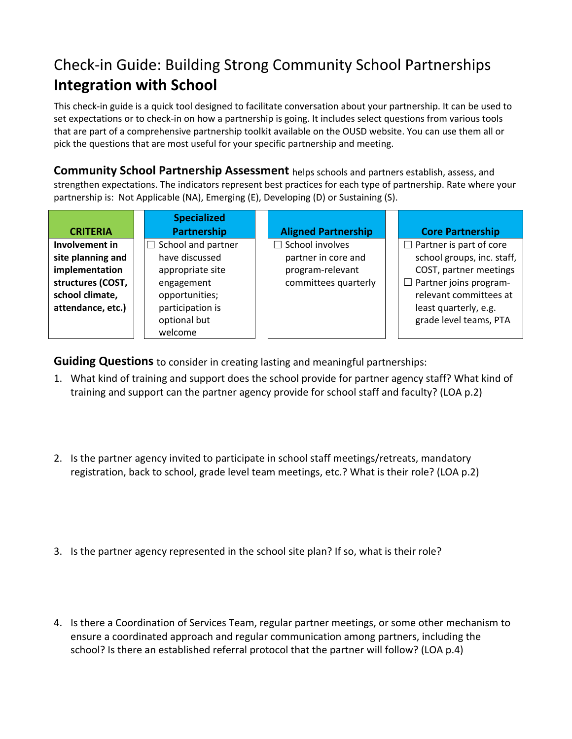## Check‐in Guide: Building Strong Community School Partnerships **Integration with School**

This check‐in guide is a quick tool designed to facilitate conversation about your partnership. It can be used to set expectations or to check-in on how a partnership is going. It includes select questions from various tools that are part of a comprehensive partnership toolkit available on the OUSD website. You can use them all or pick the questions that are most useful for your specific partnership and meeting.

**Community School Partnership Assessment** helps schools and partners establish, assess, and strengthen expectations. The indicators represent best practices for each type of partnership. Rate where your partnership is: Not Applicable (NA), Emerging (E), Developing (D) or Sustaining (S).

|                                   | <b>Specialized</b>        |                            |  |                                |  |
|-----------------------------------|---------------------------|----------------------------|--|--------------------------------|--|
| <b>CRITERIA</b>                   | <b>Partnership</b>        | <b>Aligned Partnership</b> |  | <b>Core Partnership</b>        |  |
| Involvement in                    | $\Box$ School and partner | $\Box$ School involves     |  | $\Box$ Partner is part of core |  |
| site planning and                 | have discussed            | partner in core and        |  | school groups, inc. staff,     |  |
| implementation                    | appropriate site          | program-relevant           |  | COST, partner meetings         |  |
| structures (COST,<br>engagement   |                           | committees quarterly       |  | $\Box$ Partner joins program-  |  |
| school climate,<br>opportunities; |                           |                            |  | relevant committees at         |  |
| attendance, etc.)                 | participation is          |                            |  | least quarterly, e.g.          |  |
|                                   | optional but              |                            |  | grade level teams, PTA         |  |
|                                   | welcome                   |                            |  |                                |  |

**Guiding Questions** to consider in creating lasting and meaningful partnerships:

- 1. What kind of training and support does the school provide for partner agency staff? What kind of training and support can the partner agency provide for school staff and faculty? (LOA p.2)
- 2. Is the partner agency invited to participate in school staff meetings/retreats, mandatory registration, back to school, grade level team meetings, etc.? What is their role? (LOA p.2)
- 3. Is the partner agency represented in the school site plan? If so, what is their role?
- 4. Is there a Coordination of Services Team, regular partner meetings, or some other mechanism to ensure a coordinated approach and regular communication among partners, including the school? Is there an established referral protocol that the partner will follow? (LOA p.4)